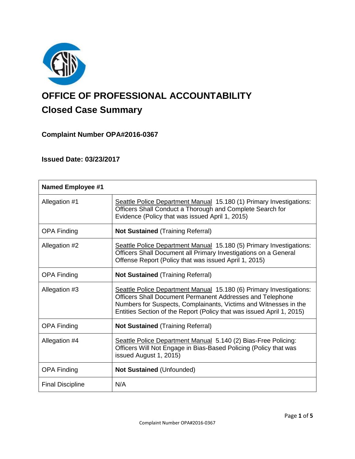

# **OFFICE OF PROFESSIONAL ACCOUNTABILITY Closed Case Summary**

# **Complaint Number OPA#2016-0367**

# **Issued Date: 03/23/2017**

| <b>Named Employee #1</b> |                                                                                                                                                                                                                                                                               |
|--------------------------|-------------------------------------------------------------------------------------------------------------------------------------------------------------------------------------------------------------------------------------------------------------------------------|
| Allegation #1            | Seattle Police Department Manual 15.180 (1) Primary Investigations:<br>Officers Shall Conduct a Thorough and Complete Search for<br>Evidence (Policy that was issued April 1, 2015)                                                                                           |
| <b>OPA Finding</b>       | <b>Not Sustained (Training Referral)</b>                                                                                                                                                                                                                                      |
| Allegation #2            | Seattle Police Department Manual 15.180 (5) Primary Investigations:<br>Officers Shall Document all Primary Investigations on a General<br>Offense Report (Policy that was issued April 1, 2015)                                                                               |
| <b>OPA Finding</b>       | <b>Not Sustained (Training Referral)</b>                                                                                                                                                                                                                                      |
| Allegation #3            | Seattle Police Department Manual 15.180 (6) Primary Investigations:<br>Officers Shall Document Permanent Addresses and Telephone<br>Numbers for Suspects, Complainants, Victims and Witnesses in the<br>Entities Section of the Report (Policy that was issued April 1, 2015) |
| <b>OPA Finding</b>       | <b>Not Sustained (Training Referral)</b>                                                                                                                                                                                                                                      |
| Allegation #4            | Seattle Police Department Manual 5.140 (2) Bias-Free Policing:<br>Officers Will Not Engage in Bias-Based Policing (Policy that was<br>issued August 1, 2015)                                                                                                                  |
| <b>OPA Finding</b>       | <b>Not Sustained (Unfounded)</b>                                                                                                                                                                                                                                              |
| <b>Final Discipline</b>  | N/A                                                                                                                                                                                                                                                                           |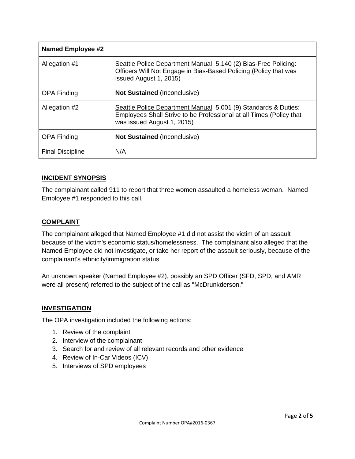| <b>Named Employee #2</b> |                                                                                                                                                                     |
|--------------------------|---------------------------------------------------------------------------------------------------------------------------------------------------------------------|
| Allegation #1            | Seattle Police Department Manual 5.140 (2) Bias-Free Policing:<br>Officers Will Not Engage in Bias-Based Policing (Policy that was<br>issued August 1, 2015)        |
| <b>OPA Finding</b>       | <b>Not Sustained (Inconclusive)</b>                                                                                                                                 |
| Allegation #2            | Seattle Police Department Manual 5.001 (9) Standards & Duties:<br>Employees Shall Strive to be Professional at all Times (Policy that<br>was issued August 1, 2015) |
| <b>OPA Finding</b>       | <b>Not Sustained (Inconclusive)</b>                                                                                                                                 |
| <b>Final Discipline</b>  | N/A                                                                                                                                                                 |

### **INCIDENT SYNOPSIS**

The complainant called 911 to report that three women assaulted a homeless woman. Named Employee #1 responded to this call.

#### **COMPLAINT**

The complainant alleged that Named Employee #1 did not assist the victim of an assault because of the victim's economic status/homelessness. The complainant also alleged that the Named Employee did not investigate, or take her report of the assault seriously, because of the complainant's ethnicity/immigration status.

An unknown speaker (Named Employee #2), possibly an SPD Officer (SFD, SPD, and AMR were all present) referred to the subject of the call as "McDrunkderson."

## **INVESTIGATION**

The OPA investigation included the following actions:

- 1. Review of the complaint
- 2. Interview of the complainant
- 3. Search for and review of all relevant records and other evidence
- 4. Review of In-Car Videos (ICV)
- 5. Interviews of SPD employees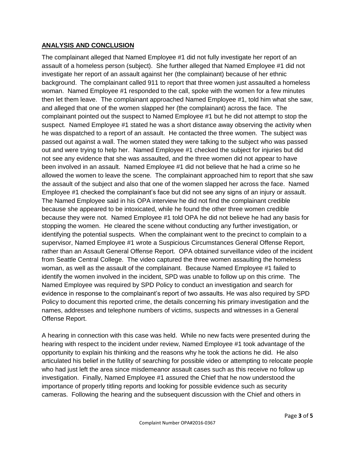## **ANALYSIS AND CONCLUSION**

The complainant alleged that Named Employee #1 did not fully investigate her report of an assault of a homeless person (subject). She further alleged that Named Employee #1 did not investigate her report of an assault against her (the complainant) because of her ethnic background. The complainant called 911 to report that three women just assaulted a homeless woman. Named Employee #1 responded to the call, spoke with the women for a few minutes then let them leave. The complainant approached Named Employee #1, told him what she saw, and alleged that one of the women slapped her (the complainant) across the face. The complainant pointed out the suspect to Named Employee #1 but he did not attempt to stop the suspect. Named Employee #1 stated he was a short distance away observing the activity when he was dispatched to a report of an assault. He contacted the three women. The subject was passed out against a wall. The women stated they were talking to the subject who was passed out and were trying to help her. Named Employee #1 checked the subject for injuries but did not see any evidence that she was assaulted, and the three women did not appear to have been involved in an assault. Named Employee #1 did not believe that he had a crime so he allowed the women to leave the scene. The complainant approached him to report that she saw the assault of the subject and also that one of the women slapped her across the face. Named Employee #1 checked the complainant's face but did not see any signs of an injury or assault. The Named Employee said in his OPA interview he did not find the complainant credible because she appeared to be intoxicated, while he found the other three women credible because they were not. Named Employee #1 told OPA he did not believe he had any basis for stopping the women. He cleared the scene without conducting any further investigation, or identifying the potential suspects. When the complainant went to the precinct to complain to a supervisor, Named Employee #1 wrote a Suspicious Circumstances General Offense Report, rather than an Assault General Offense Report. OPA obtained surveillance video of the incident from Seattle Central College. The video captured the three women assaulting the homeless woman, as well as the assault of the complainant. Because Named Employee #1 failed to identify the women involved in the incident, SPD was unable to follow up on this crime. The Named Employee was required by SPD Policy to conduct an investigation and search for evidence in response to the complainant's report of two assaults. He was also required by SPD Policy to document this reported crime, the details concerning his primary investigation and the names, addresses and telephone numbers of victims, suspects and witnesses in a General Offense Report.

A hearing in connection with this case was held. While no new facts were presented during the hearing with respect to the incident under review, Named Employee #1 took advantage of the opportunity to explain his thinking and the reasons why he took the actions he did. He also articulated his belief in the futility of searching for possible video or attempting to relocate people who had just left the area since misdemeanor assault cases such as this receive no follow up investigation. Finally, Named Employee #1 assured the Chief that he now understood the importance of properly titling reports and looking for possible evidence such as security cameras. Following the hearing and the subsequent discussion with the Chief and others in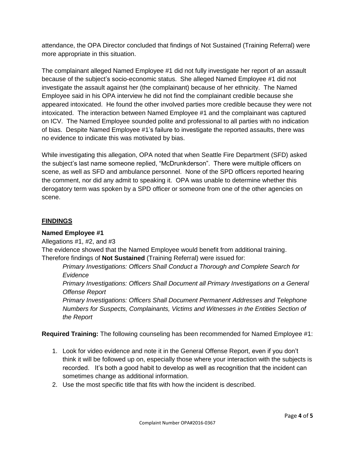attendance, the OPA Director concluded that findings of Not Sustained (Training Referral) were more appropriate in this situation.

The complainant alleged Named Employee #1 did not fully investigate her report of an assault because of the subject's socio-economic status. She alleged Named Employee #1 did not investigate the assault against her (the complainant) because of her ethnicity. The Named Employee said in his OPA interview he did not find the complainant credible because she appeared intoxicated. He found the other involved parties more credible because they were not intoxicated. The interaction between Named Employee #1 and the complainant was captured on ICV. The Named Employee sounded polite and professional to all parties with no indication of bias. Despite Named Employee #1's failure to investigate the reported assaults, there was no evidence to indicate this was motivated by bias.

While investigating this allegation, OPA noted that when Seattle Fire Department (SFD) asked the subject's last name someone replied, "McDrunkderson". There were multiple officers on scene, as well as SFD and ambulance personnel. None of the SPD officers reported hearing the comment, nor did any admit to speaking it. OPA was unable to determine whether this derogatory term was spoken by a SPD officer or someone from one of the other agencies on scene.

# **FINDINGS**

## **Named Employee #1**

Allegations #1, #2, and #3

The evidence showed that the Named Employee would benefit from additional training. Therefore findings of **Not Sustained** (Training Referral) were issued for:

*Primary Investigations: Officers Shall Conduct a Thorough and Complete Search for Evidence*

*Primary Investigations: Officers Shall Document all Primary Investigations on a General Offense Report*

*Primary Investigations: Officers Shall Document Permanent Addresses and Telephone Numbers for Suspects, Complainants, Victims and Witnesses in the Entities Section of the Report*

**Required Training:** The following counseling has been recommended for Named Employee #1:

- 1. Look for video evidence and note it in the General Offense Report, even if you don't think it will be followed up on, especially those where your interaction with the subjects is recorded. It's both a good habit to develop as well as recognition that the incident can sometimes change as additional information.
- 2. Use the most specific title that fits with how the incident is described.